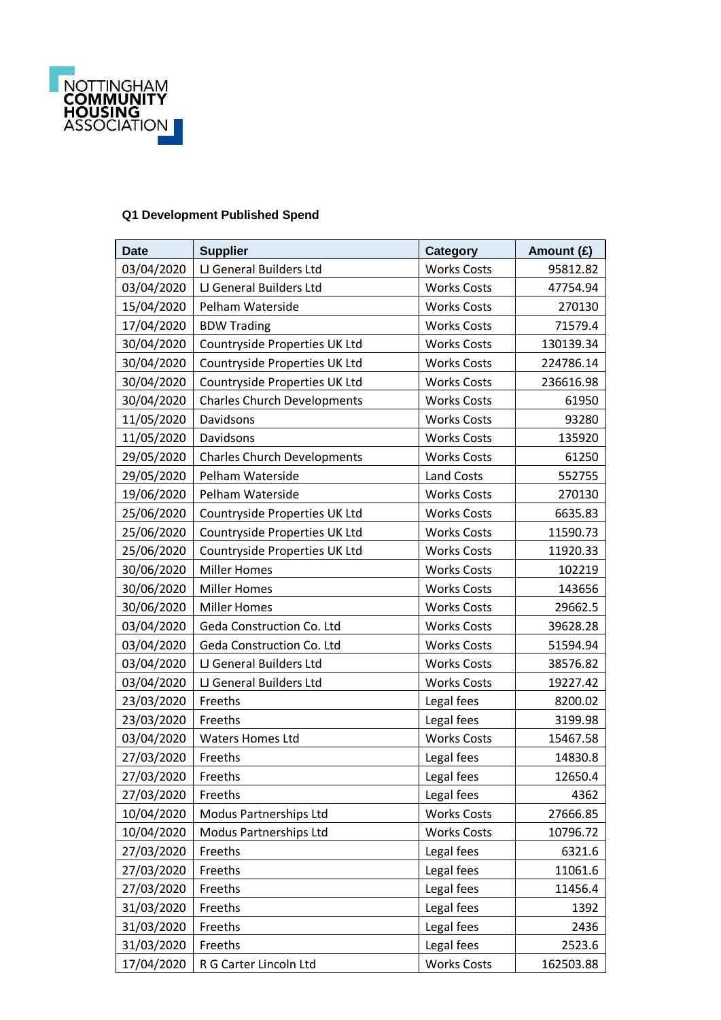

## **Q1 Development Published Spend**

| <b>Date</b> | <b>Supplier</b>                    | <b>Category</b>    | Amount (£) |
|-------------|------------------------------------|--------------------|------------|
| 03/04/2020  | LJ General Builders Ltd            | <b>Works Costs</b> | 95812.82   |
| 03/04/2020  | LJ General Builders Ltd            | <b>Works Costs</b> | 47754.94   |
| 15/04/2020  | Pelham Waterside                   | <b>Works Costs</b> | 270130     |
| 17/04/2020  | <b>BDW Trading</b>                 | <b>Works Costs</b> | 71579.4    |
| 30/04/2020  | Countryside Properties UK Ltd      | <b>Works Costs</b> | 130139.34  |
| 30/04/2020  | Countryside Properties UK Ltd      | <b>Works Costs</b> | 224786.14  |
| 30/04/2020  | Countryside Properties UK Ltd      | <b>Works Costs</b> | 236616.98  |
| 30/04/2020  | <b>Charles Church Developments</b> | <b>Works Costs</b> | 61950      |
| 11/05/2020  | Davidsons                          | <b>Works Costs</b> | 93280      |
| 11/05/2020  | Davidsons                          | <b>Works Costs</b> | 135920     |
| 29/05/2020  | <b>Charles Church Developments</b> | <b>Works Costs</b> | 61250      |
| 29/05/2020  | Pelham Waterside                   | <b>Land Costs</b>  | 552755     |
| 19/06/2020  | Pelham Waterside                   | <b>Works Costs</b> | 270130     |
| 25/06/2020  | Countryside Properties UK Ltd      | <b>Works Costs</b> | 6635.83    |
| 25/06/2020  | Countryside Properties UK Ltd      | <b>Works Costs</b> | 11590.73   |
| 25/06/2020  | Countryside Properties UK Ltd      | <b>Works Costs</b> | 11920.33   |
| 30/06/2020  | <b>Miller Homes</b>                | <b>Works Costs</b> | 102219     |
| 30/06/2020  | <b>Miller Homes</b>                | <b>Works Costs</b> | 143656     |
| 30/06/2020  | <b>Miller Homes</b>                | <b>Works Costs</b> | 29662.5    |
| 03/04/2020  | Geda Construction Co. Ltd          | <b>Works Costs</b> | 39628.28   |
| 03/04/2020  | Geda Construction Co. Ltd          | <b>Works Costs</b> | 51594.94   |
| 03/04/2020  | LJ General Builders Ltd            | <b>Works Costs</b> | 38576.82   |
| 03/04/2020  | LJ General Builders Ltd            | <b>Works Costs</b> | 19227.42   |
| 23/03/2020  | Freeths                            | Legal fees         | 8200.02    |
| 23/03/2020  | Freeths                            | Legal fees         | 3199.98    |
| 03/04/2020  | <b>Waters Homes Ltd</b>            | <b>Works Costs</b> | 15467.58   |
| 27/03/2020  | Freeths                            | Legal fees         | 14830.8    |
| 27/03/2020  | Freeths                            | Legal fees         | 12650.4    |
| 27/03/2020  | Freeths                            | Legal fees         | 4362       |
| 10/04/2020  | Modus Partnerships Ltd             | <b>Works Costs</b> | 27666.85   |
| 10/04/2020  | <b>Modus Partnerships Ltd</b>      | <b>Works Costs</b> | 10796.72   |
| 27/03/2020  | Freeths                            | Legal fees         | 6321.6     |
| 27/03/2020  | Freeths                            | Legal fees         | 11061.6    |
| 27/03/2020  | Freeths                            | Legal fees         | 11456.4    |
| 31/03/2020  | Freeths                            | Legal fees         | 1392       |
| 31/03/2020  | Freeths                            | Legal fees         | 2436       |
| 31/03/2020  | Freeths                            | Legal fees         | 2523.6     |
| 17/04/2020  | R G Carter Lincoln Ltd             | <b>Works Costs</b> | 162503.88  |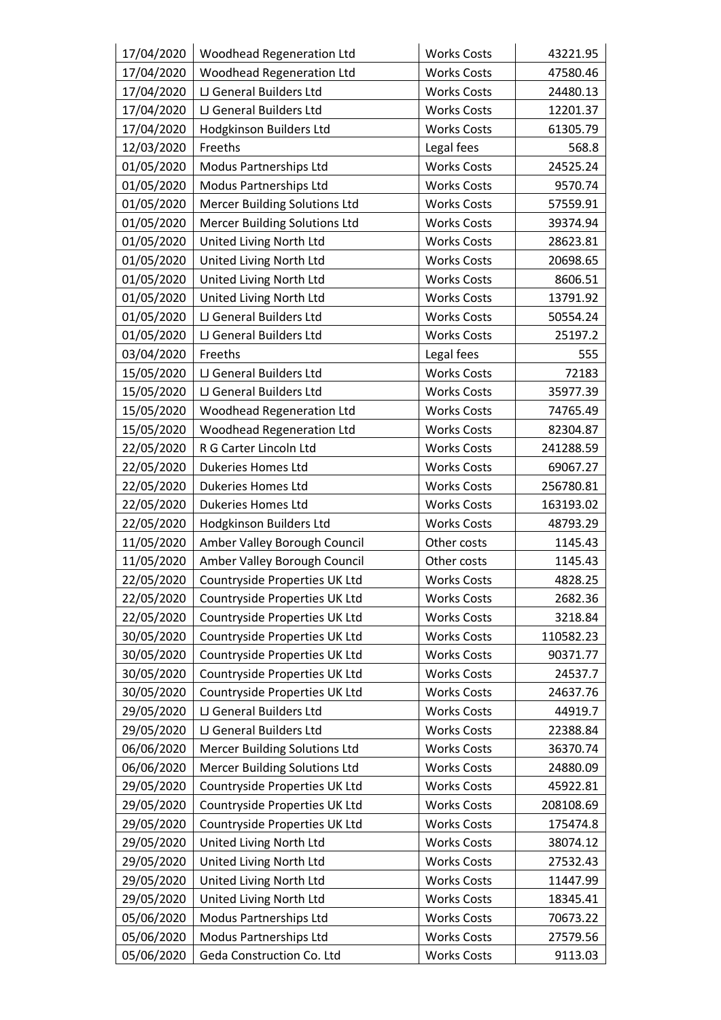| 17/04/2020 | <b>Woodhead Regeneration Ltd</b>     | <b>Works Costs</b> | 43221.95  |
|------------|--------------------------------------|--------------------|-----------|
| 17/04/2020 | <b>Woodhead Regeneration Ltd</b>     | <b>Works Costs</b> | 47580.46  |
| 17/04/2020 | LJ General Builders Ltd              | <b>Works Costs</b> | 24480.13  |
| 17/04/2020 | LJ General Builders Ltd              | <b>Works Costs</b> | 12201.37  |
| 17/04/2020 | Hodgkinson Builders Ltd              | <b>Works Costs</b> | 61305.79  |
| 12/03/2020 | Freeths                              | Legal fees         | 568.8     |
| 01/05/2020 | Modus Partnerships Ltd               | <b>Works Costs</b> | 24525.24  |
| 01/05/2020 | Modus Partnerships Ltd               | <b>Works Costs</b> | 9570.74   |
| 01/05/2020 | <b>Mercer Building Solutions Ltd</b> | <b>Works Costs</b> | 57559.91  |
| 01/05/2020 | <b>Mercer Building Solutions Ltd</b> | <b>Works Costs</b> | 39374.94  |
| 01/05/2020 | United Living North Ltd              | <b>Works Costs</b> | 28623.81  |
| 01/05/2020 | United Living North Ltd              | <b>Works Costs</b> | 20698.65  |
| 01/05/2020 | United Living North Ltd              | <b>Works Costs</b> | 8606.51   |
| 01/05/2020 | United Living North Ltd              | <b>Works Costs</b> | 13791.92  |
| 01/05/2020 | LJ General Builders Ltd              | <b>Works Costs</b> | 50554.24  |
| 01/05/2020 | LJ General Builders Ltd              | <b>Works Costs</b> | 25197.2   |
| 03/04/2020 | Freeths                              | Legal fees         | 555       |
| 15/05/2020 | LJ General Builders Ltd              | <b>Works Costs</b> | 72183     |
| 15/05/2020 | LJ General Builders Ltd              | <b>Works Costs</b> | 35977.39  |
| 15/05/2020 | Woodhead Regeneration Ltd            | <b>Works Costs</b> | 74765.49  |
| 15/05/2020 | <b>Woodhead Regeneration Ltd</b>     | <b>Works Costs</b> | 82304.87  |
| 22/05/2020 | R G Carter Lincoln Ltd               | <b>Works Costs</b> | 241288.59 |
| 22/05/2020 | Dukeries Homes Ltd                   | <b>Works Costs</b> | 69067.27  |
| 22/05/2020 | Dukeries Homes Ltd                   | <b>Works Costs</b> | 256780.81 |
| 22/05/2020 | <b>Dukeries Homes Ltd</b>            | <b>Works Costs</b> | 163193.02 |
| 22/05/2020 | Hodgkinson Builders Ltd              | <b>Works Costs</b> | 48793.29  |
| 11/05/2020 | Amber Valley Borough Council         | Other costs        | 1145.43   |
| 11/05/2020 | Amber Valley Borough Council         | Other costs        | 1145.43   |
| 22/05/2020 | Countryside Properties UK Ltd        | <b>Works Costs</b> | 4828.25   |
| 22/05/2020 | Countryside Properties UK Ltd        | <b>Works Costs</b> | 2682.36   |
| 22/05/2020 | Countryside Properties UK Ltd        | <b>Works Costs</b> | 3218.84   |
| 30/05/2020 | Countryside Properties UK Ltd        | <b>Works Costs</b> | 110582.23 |
| 30/05/2020 | Countryside Properties UK Ltd        | <b>Works Costs</b> | 90371.77  |
| 30/05/2020 | Countryside Properties UK Ltd        | <b>Works Costs</b> | 24537.7   |
| 30/05/2020 | Countryside Properties UK Ltd        | <b>Works Costs</b> | 24637.76  |
| 29/05/2020 | LJ General Builders Ltd              | <b>Works Costs</b> | 44919.7   |
| 29/05/2020 | LJ General Builders Ltd              | <b>Works Costs</b> | 22388.84  |
| 06/06/2020 | <b>Mercer Building Solutions Ltd</b> | <b>Works Costs</b> | 36370.74  |
| 06/06/2020 | <b>Mercer Building Solutions Ltd</b> | <b>Works Costs</b> | 24880.09  |
| 29/05/2020 | Countryside Properties UK Ltd        | <b>Works Costs</b> | 45922.81  |
| 29/05/2020 | Countryside Properties UK Ltd        | <b>Works Costs</b> | 208108.69 |
| 29/05/2020 | Countryside Properties UK Ltd        | <b>Works Costs</b> | 175474.8  |
| 29/05/2020 | United Living North Ltd              | <b>Works Costs</b> | 38074.12  |
| 29/05/2020 | United Living North Ltd              | <b>Works Costs</b> | 27532.43  |
| 29/05/2020 | United Living North Ltd              | <b>Works Costs</b> | 11447.99  |
| 29/05/2020 | United Living North Ltd              | <b>Works Costs</b> | 18345.41  |
| 05/06/2020 | Modus Partnerships Ltd               | <b>Works Costs</b> | 70673.22  |
| 05/06/2020 | Modus Partnerships Ltd               | <b>Works Costs</b> | 27579.56  |
| 05/06/2020 | Geda Construction Co. Ltd            | <b>Works Costs</b> | 9113.03   |